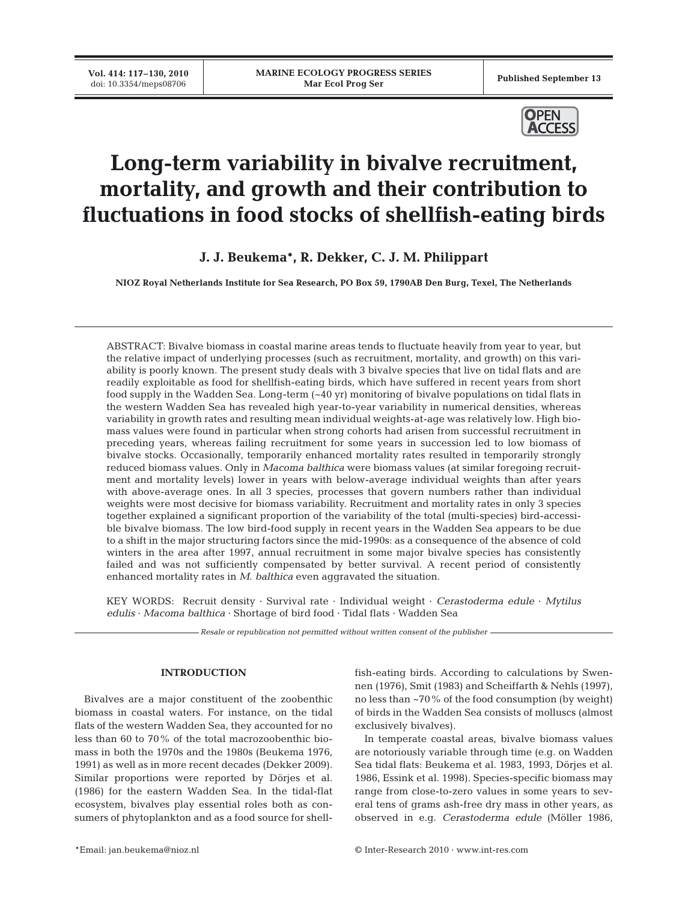**Vol. 414: 117–130, 2010**



# **Long-term variability in bivalve recruitment, mortality, and growth and their contribution to fluctuations in food stocks of shellfish-eating birds**

**J. J. Beukema\*, R. Dekker, C. J. M. Philippart**

**NIOZ Royal Netherlands Institute for Sea Research, PO Box 59, 1790AB Den Burg, Texel, The Netherlands**

ABSTRACT: Bivalve biomass in coastal marine areas tends to fluctuate heavily from year to year, but the relative impact of underlying processes (such as recruitment, mortality, and growth) on this variability is poorly known. The present study deals with 3 bivalve species that live on tidal flats and are readily exploitable as food for shellfish-eating birds, which have suffered in recent years from short food supply in the Wadden Sea. Long-term (~40 yr) monitoring of bivalve populations on tidal flats in the western Wadden Sea has revealed high year-to-year variability in numerical densities, whereas variability in growth rates and resulting mean individual weights-at-age was relatively low. High biomass values were found in particular when strong cohorts had arisen from successful recruitment in preceding years, whereas failing recruitment for some years in succession led to low biomass of bivalve stocks. Occasionally, temporarily enhanced mortality rates resulted in temporarily strongly reduced biomass values. Only in *Macoma balthica* were biomass values (at similar foregoing recruitment and mortality levels) lower in years with below-average individual weights than after years with above-average ones. In all 3 species, processes that govern numbers rather than individual weights were most decisive for biomass variability. Recruitment and mortality rates in only 3 species together explained a significant proportion of the variability of the total (multi-species) bird-accessible bivalve biomass. The low bird-food supply in recent years in the Wadden Sea appears to be due to a shift in the major structuring factors since the mid-1990s: as a consequence of the absence of cold winters in the area after 1997, annual recruitment in some major bivalve species has consistently failed and was not sufficiently compensated by better survival. A recent period of consistently enhanced mortality rates in *M. balthica* even aggravated the situation.

KEY WORDS: Recruit density · Survival rate · Individual weight · *Cerastoderma edule* · *Mytilus edulis* · *Macoma balthica* · Shortage of bird food · Tidal flats · Wadden Sea

*Resale or republication not permitted without written consent of the publisher*

# **INTRODUCTION**

Bivalves are a major constituent of the zoobenthic biomass in coastal waters. For instance, on the tidal flats of the western Wadden Sea, they accounted for no less than 60 to 70% of the total macrozoobenthic biomass in both the 1970s and the 1980s (Beukema 1976, 1991) as well as in more recent decades (Dekker 2009). Similar proportions were reported by Dörjes et al. (1986) for the eastern Wadden Sea. In the tidal-flat ecosystem, bivalves play essential roles both as consumers of phytoplankton and as a food source for shell-

fish-eating birds. According to calculations by Swennen (1976), Smit (1983) and Scheiffarth & Nehls (1997), no less than ~70% of the food consumption (by weight) of birds in the Wadden Sea consists of molluscs (almost exclusively bivalves).

In temperate coastal areas, bivalve biomass values are notoriously variable through time (e.g. on Wadden Sea tidal flats: Beukema et al. 1983, 1993, Dörjes et al. 1986, Essink et al. 1998). Species-specific biomass may range from close-to-zero values in some years to several tens of grams ash-free dry mass in other years, as observed in e.g. *Cerastoderma edule* (Möller 1986,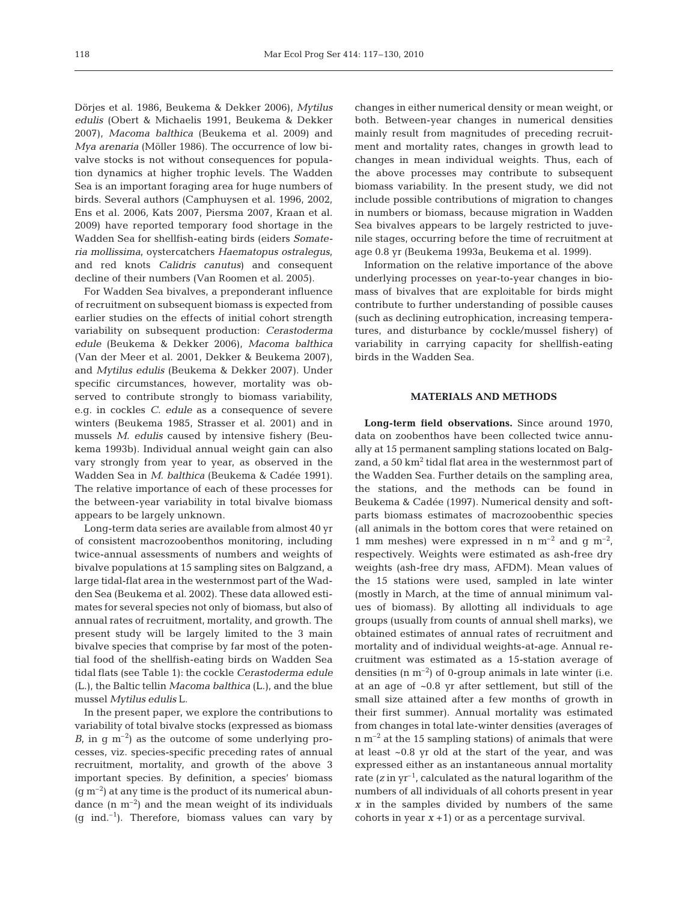Dörjes et al. 1986, Beukema & Dekker 2006), *Mytilus edulis* (Obert & Michaelis 1991, Beukema & Dekker 2007), *Macoma balthica* (Beukema et al. 2009) and *Mya arenaria* (Möller 1986). The occurrence of low bivalve stocks is not without consequences for population dynamics at higher trophic levels. The Wadden Sea is an important foraging area for huge numbers of birds. Several authors (Camphuysen et al. 1996, 2002, Ens et al. 2006, Kats 2007, Piersma 2007, Kraan et al. 2009) have reported temporary food shortage in the Wadden Sea for shellfish-eating birds (eiders *Somateria mollissima*, oystercatchers *Haematopus ostralegus*, and red knots *Calidris canutus*) and consequent decline of their numbers (Van Roomen et al. 2005).

For Wadden Sea bivalves, a preponderant influence of recruitment on subsequent biomass is expected from earlier studies on the effects of initial cohort strength variability on subsequent production: *Cerastoderma edule* (Beukema & Dekker 2006), *Macoma balthica* (Van der Meer et al. 2001, Dekker & Beukema 2007), and *Mytilus edulis* (Beukema & Dekker 2007). Under specific circumstances, however, mortality was observed to contribute strongly to biomass variability, e.g. in cockles *C. edule* as a consequence of severe winters (Beukema 1985, Strasser et al. 2001) and in mussels *M. edulis* caused by intensive fishery (Beukema 1993b). Individual annual weight gain can also vary strongly from year to year, as observed in the Wadden Sea in *M. balthica* (Beukema & Cadée 1991). The relative importance of each of these processes for the between-year variability in total bivalve biomass appears to be largely unknown.

Long-term data series are available from almost 40 yr of consistent macrozoobenthos monitoring, including twice-annual assessments of numbers and weights of bivalve populations at 15 sampling sites on Balgzand, a large tidal-flat area in the westernmost part of the Wadden Sea (Beukema et al. 2002). These data allowed estimates for several species not only of biomass, but also of annual rates of recruitment, mortality, and growth. The present study will be largely limited to the 3 main bivalve species that comprise by far most of the potential food of the shellfish-eating birds on Wadden Sea tidal flats (see Table 1): the cockle *Cerastoderma edule* (L.), the Baltic tellin *Macoma balthica* (L.), and the blue mussel *Mytilus edulis* L.

In the present paper, we explore the contributions to variability of total bivalve stocks (expressed as biomass *B*, in g  $m^{-2}$  as the outcome of some underlying processes, viz. species-specific preceding rates of annual recruitment, mortality, and growth of the above 3 important species. By definition, a species' biomass  $(g m<sup>-2</sup>)$  at any time is the product of its numerical abundance  $(n m<sup>-2</sup>)$  and the mean weight of its individuals  $(q$  ind.<sup>-1</sup>). Therefore, biomass values can vary by changes in either numerical density or mean weight, or both. Between-year changes in numerical densities mainly result from magnitudes of preceding recruitment and mortality rates, changes in growth lead to changes in mean individual weights. Thus, each of the above processes may contribute to subsequent biomass variability. In the present study, we did not include possible contributions of migration to changes in numbers or biomass, because migration in Wadden Sea bivalves appears to be largely restricted to juvenile stages, occurring before the time of recruitment at age 0.8 yr (Beukema 1993a, Beukema et al. 1999).

Information on the relative importance of the above underlying processes on year-to-year changes in biomass of bivalves that are exploitable for birds might contribute to further understanding of possible causes (such as declining eutrophication, increasing temperatures, and disturbance by cockle/mussel fishery) of variability in carrying capacity for shellfish-eating birds in the Wadden Sea.

#### **MATERIALS AND METHODS**

**Long-term field observations.** Since around 1970, data on zoobenthos have been collected twice annually at 15 permanent sampling stations located on Balgzand, a 50 km<sup>2</sup> tidal flat area in the westernmost part of the Wadden Sea. Further details on the sampling area, the stations, and the methods can be found in Beukema & Cadée (1997). Numerical density and softparts biomass estimates of macrozoobenthic species (all animals in the bottom cores that were retained on 1 mm meshes) were expressed in n  $m^{-2}$  and g  $m^{-2}$ , respectively. Weights were estimated as ash-free dry weights (ash-free dry mass, AFDM). Mean values of the 15 stations were used, sampled in late winter (mostly in March, at the time of annual minimum values of biomass). By allotting all individuals to age groups (usually from counts of annual shell marks), we obtained estimates of annual rates of recruitment and mortality and of individual weights-at-age. Annual recruitment was estimated as a 15-station average of densities  $(n m<sup>-2</sup>)$  of 0-group animals in late winter (i.e. at an age of ~0.8 yr after settlement, but still of the small size attained after a few months of growth in their first summer). Annual mortality was estimated from changes in total late-winter densities (averages of  $n m^{-2}$  at the 15 sampling stations) of animals that were at least ~0.8 yr old at the start of the year, and was expressed either as an instantaneous annual mortality rate  $(z \text{ in } yr^{-1}$ , calculated as the natural logarithm of the numbers of all individuals of all cohorts present in year *x* in the samples divided by numbers of the same cohorts in year  $x + 1$ ) or as a percentage survival.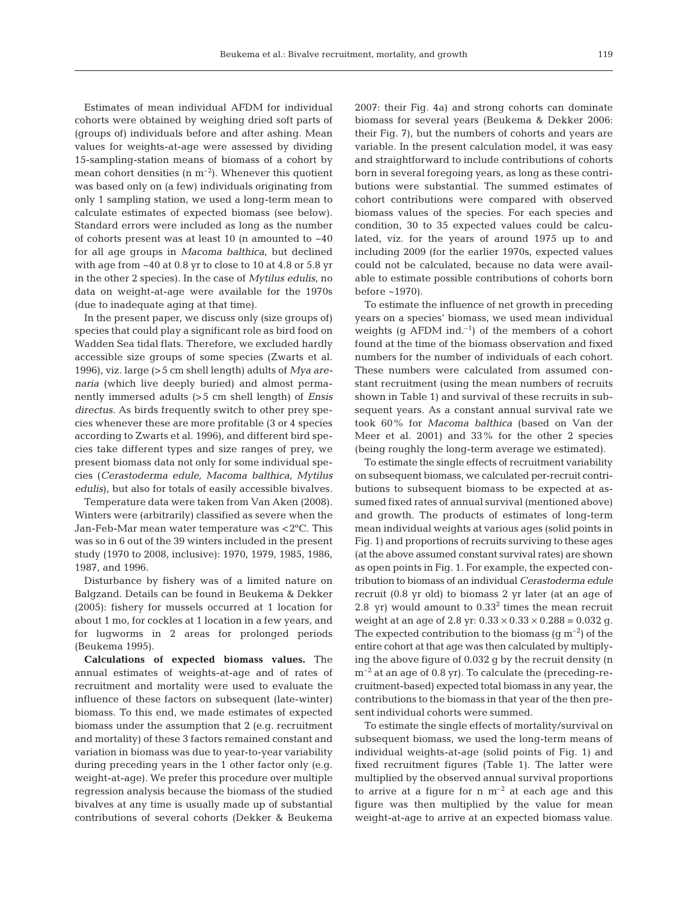Estimates of mean individual AFDM for individual cohorts were obtained by weighing dried soft parts of (groups of) individuals before and after ashing. Mean values for weights-at-age were assessed by dividing 15-sampling-station means of biomass of a cohort by mean cohort densities  $(n m<sup>-2</sup>)$ . Whenever this quotient was based only on (a few) individuals originating from only 1 sampling station, we used a long-term mean to calculate estimates of expected biomass (see below). Standard errors were included as long as the number of cohorts present was at least 10 (n amounted to ~40 for all age groups in *Macoma balthica*, but declined with age from ~40 at 0.8 yr to close to 10 at 4.8 or 5.8 yr in the other 2 species). In the case of *Mytilus edulis*, no data on weight-at-age were available for the 1970s (due to inadequate aging at that time).

In the present paper, we discuss only (size groups of) species that could play a significant role as bird food on Wadden Sea tidal flats. Therefore, we excluded hardly accessible size groups of some species (Zwarts et al. 1996), viz. large (>5 cm shell length) adults of *Mya arenaria* (which live deeply buried) and almost permanently immersed adults (>5 cm shell length) of *Ensis directus*. As birds frequently switch to other prey species whenever these are more profitable (3 or 4 species according to Zwarts et al. 1996), and different bird species take different types and size ranges of prey, we present biomass data not only for some individual species (*Cerastoderma edule, Macoma balthica, Mytilus edulis*), but also for totals of easily accessible bivalves.

Temperature data were taken from Van Aken (2008). Winters were (arbitrarily) classified as severe when the Jan-Feb-Mar mean water temperature was <2ºC. This was so in 6 out of the 39 winters included in the present study (1970 to 2008, inclusive): 1970, 1979, 1985, 1986, 1987, and 1996.

Disturbance by fishery was of a limited nature on Balgzand. Details can be found in Beukema & Dekker (2005): fishery for mussels occurred at 1 location for about 1 mo, for cockles at 1 location in a few years, and for lugworms in 2 areas for prolonged periods (Beukema 1995).

**Calculations of expected biomass values.** The annual estimates of weights-at-age and of rates of recruitment and mortality were used to evaluate the influence of these factors on subsequent (late-winter) biomass. To this end, we made estimates of expected biomass under the assumption that 2 (e.g. recruitment and mortality) of these 3 factors remained constant and variation in biomass was due to year-to-year variability during preceding years in the 1 other factor only (e.g. weight-at-age). We prefer this procedure over multiple regression analysis because the biomass of the studied bivalves at any time is usually made up of substantial contributions of several cohorts (Dekker & Beukema 2007: their Fig. 4a) and strong cohorts can dominate biomass for several years (Beukema & Dekker 2006: their Fig. 7), but the numbers of cohorts and years are variable. In the present calculation model, it was easy and straightforward to include contributions of cohorts born in several foregoing years, as long as these contributions were substantial. The summed estimates of cohort contributions were compared with observed biomass values of the species. For each species and condition, 30 to 35 expected values could be calculated, viz. for the years of around 1975 up to and including 2009 (for the earlier 1970s, expected values could not be calculated, because no data were available to estimate possible contributions of cohorts born before ~1970).

To estimate the influence of net growth in preceding years on a species' biomass, we used mean individual weights (q AFDM ind.<sup>-1</sup>) of the members of a cohort found at the time of the biomass observation and fixed numbers for the number of individuals of each cohort. These numbers were calculated from assumed constant recruitment (using the mean numbers of recruits shown in Table 1) and survival of these recruits in subsequent years. As a constant annual survival rate we took 60% for *Macoma balthica* (based on Van der Meer et al. 2001) and 33% for the other 2 species (being roughly the long-term average we estimated).

To estimate the single effects of recruitment variability on subsequent biomass, we calculated per-recruit contributions to subsequent biomass to be expected at assumed fixed rates of annual survival (mentioned above) and growth. The products of estimates of long-term mean individual weights at various ages (solid points in Fig. 1) and proportions of recruits surviving to these ages (at the above assumed constant survival rates) are shown as open points in Fig. 1. For example, the expected contribution to biomass of an individual *Cerastoderma edule* recruit (0.8 yr old) to biomass 2 yr later (at an age of 2.8 yr) would amount to  $0.33<sup>2</sup>$  times the mean recruit weight at an age of 2.8 yr:  $0.33 \times 0.33 \times 0.288 = 0.032$  g. The expected contribution to the biomass  $(q m^{-2})$  of the entire cohort at that age was then calculated by multiplying the above figure of 0.032 g by the recruit density (n  $m^{-2}$  at an age of 0.8 yr). To calculate the (preceding-recruitment-based) expected total biomass in any year, the contributions to the biomass in that year of the then present individual cohorts were summed.

To estimate the single effects of mortality/survival on subsequent biomass, we used the long-term means of individual weights-at-age (solid points of Fig. 1) and fixed recruitment figures (Table 1). The latter were multiplied by the observed annual survival proportions to arrive at a figure for  $n m^{-2}$  at each age and this figure was then multiplied by the value for mean weight-at-age to arrive at an expected biomass value.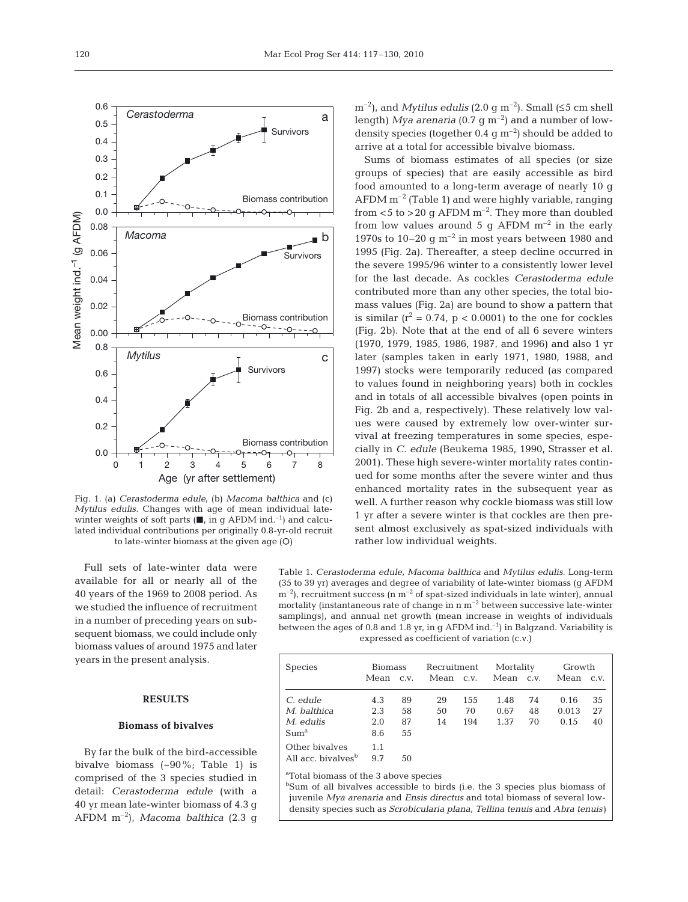

Fig. 1. (a) *Cerastoderma edule*, (b) *Macoma balthica* and (c) *Mytilus edulis*. Changes with age of mean individual latewinter weights of soft parts ( $\blacksquare$ , in g AFDM ind.<sup>-1</sup>) and calculated individual contributions per originally 0.8-yr-old recruit to late-winter biomass at the given age  $(O)$ 

Full sets of late-winter data were available for all or nearly all of the 40 years of the 1969 to 2008 period. As we studied the influence of recruitment in a number of preceding years on subsequent biomass, we could include only biomass values of around 1975 and later years in the present analysis.

### **RESULTS**

#### **Biomass of bivalves**

By far the bulk of the bird-accessible bivalve biomass (~90%; Table 1) is comprised of the 3 species studied in detail: *Cerastoderma edule* (with a 40 yr mean late-winter biomass of 4.3 g AFDM m–2), *Macoma balthica* (2.3 g

 $(m^{-2})$ , and *Mytilus edulis* (2.0 g  $m^{-2}$ ). Small (≤5 cm shell length) *Mya arenaria* (0.7  $\alpha$  m<sup>-2</sup>) and a number of lowdensity species (together  $0.4 \text{ g m}^{-2}$ ) should be added to arrive at a total for accessible bivalve biomass.

Sums of biomass estimates of all species (or size groups of species) that are easily accessible as bird food amounted to a long-term average of nearly 10 g  $AFDM m<sup>-2</sup>$  (Table 1) and were highly variable, ranging from  $<$  5 to > 20 g AFDM  $m$ <sup>-2</sup>. They more than doubled from low values around 5 g AFDM  $m^{-2}$  in the early 1970s to 10–20  $\sigma$  m<sup>-2</sup> in most years between 1980 and 1995 (Fig. 2a). Thereafter, a steep decline occurred in the severe 1995/96 winter to a consistently lower level for the last decade. As cockles *Cerastoderma edule* contributed more than any other species, the total biomass values (Fig. 2a) are bound to show a pattern that is similar  $(r^2 = 0.74, p < 0.0001)$  to the one for cockles (Fig. 2b). Note that at the end of all 6 severe winters (1970, 1979, 1985, 1986, 1987, and 1996) and also 1 yr later (samples taken in early 1971, 1980, 1988, and 1997) stocks were temporarily reduced (as compared to values found in neighboring years) both in cockles and in totals of all accessible bivalves (open points in Fig. 2b and a, respectively). These relatively low values were caused by extremely low over-winter survival at freezing temperatures in some species, especially in *C. edule* (Beukema 1985, 1990, Strasser et al. 2001). These high severe-winter mortality rates continued for some months after the severe winter and thus enhanced mortality rates in the subsequent year as well. A further reason why cockle biomass was still low 1 yr after a severe winter is that cockles are then present almost exclusively as spat-sized individuals with rather low individual weights.

Table 1. *Cerastoderma edule, Macoma balthica* and *Mytilus edulis.* Long-term (35 to 39 yr) averages and degree of variability of late-winter biomass (g AFDM  $m^{-2}$ ), recruitment success (n  $m^{-2}$  of spat-sized individuals in late winter), annual mortality (instantaneous rate of change in n m–2 between successive late-winter samplings), and annual net growth (mean increase in weights of individuals between the ages of 0.8 and 1.8 yr, in g AFDM  $ind.$ <sup>-1</sup>) in Balgzand. Variability is expressed as coefficient of variation (c.v.)

| <b>Species</b>                                   | <b>Biomass</b> |      | Recruitment |     | Mortality |      | Growth |      |
|--------------------------------------------------|----------------|------|-------------|-----|-----------|------|--------|------|
|                                                  | Mean           | C.V. | Mean c.v.   |     | Mean      | C.V. | Mean   | C.V. |
| $C.$ edule                                       | 4.3            | 89   | 29          | 155 | 1.48      | 74   | 0.16   | 35   |
| M. balthica                                      | 2.3            | 58   | 50          | 70  | 0.67      | 48   | 0.013  | 27   |
| M. edulis                                        | 2.0            | 87   | 14          | 194 | 1.37      | 70   | 0.15   | 40   |
| Sum <sup>a</sup>                                 | 8.6            | 55   |             |     |           |      |        |      |
| Other bivalves<br>All acc. bivalves <sup>b</sup> | 1.1<br>9.7     | 50   |             |     |           |      |        |      |

a Total biomass of the 3 above species

<sup>b</sup>Sum of all bivalves accessible to birds (i.e. the 3 species plus biomass of juvenile *Mya arenaria* and *Ensis directus* and total biomass of several lowdensity species such as *Scrobicularia plana, Tellina tenuis* and *Abra tenuis)*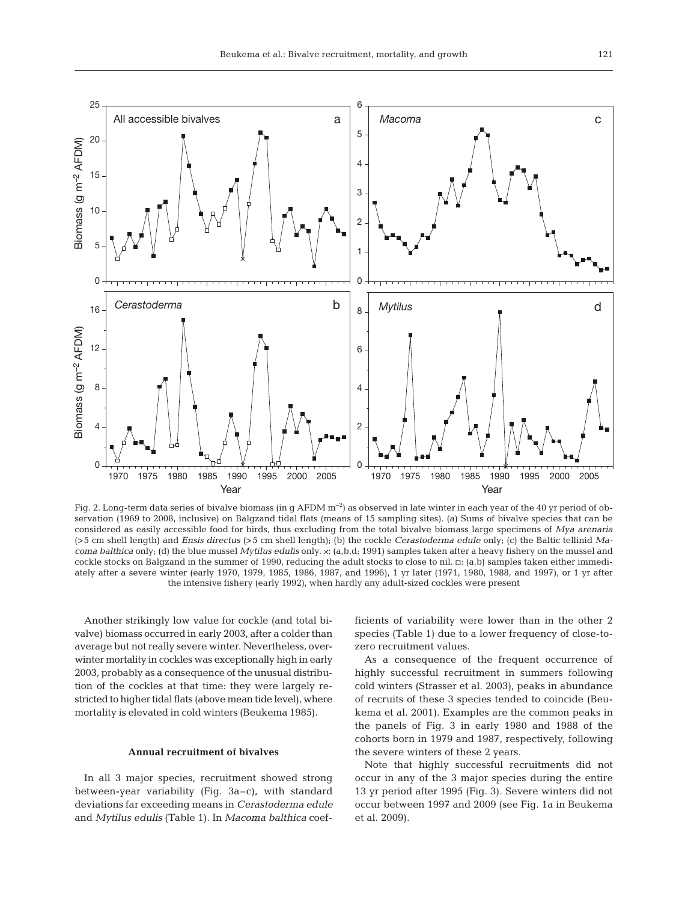

Fig. 2. Long-term data series of bivalve biomass (in g AFDM  $m^{-2}$ ) as observed in late winter in each year of the 40 yr period of observation (1969 to 2008, inclusive) on Balgzand tidal flats (means of 15 sampling sites). (a) Sums of bivalve species that can be considered as easily accessible food for birds, thus excluding from the total bivalve biomass large specimens of *Mya arenaria* (>5 cm shell length) and *Ensis directus* (>5 cm shell length); (b) the cockle *Cerastoderma edule* only; (c) the Baltic tellinid *Macoma balthica* only; (d) the blue mussel *Mytilus edulis* only. : (a,b,d; 1991) samples taken after a heavy fishery on the mussel and cockle stocks on Balgzand in the summer of 1990, reducing the adult stocks to close to nil.  $\Box$ : (a,b) samples taken either immediately after a severe winter (early 1970, 1979, 1985, 1986, 1987, and 1996), 1 yr later (1971, 1980, 1988, and 1997), or 1 yr after the intensive fishery (early 1992), when hardly any adult-sized cockles were present

Another strikingly low value for cockle (and total bivalve) biomass occurred in early 2003, after a colder than average but not really severe winter. Nevertheless, overwinter mortality in cockles was exceptionally high in early 2003, probably as a consequence of the unusual distribution of the cockles at that time: they were largely restricted to higher tidal flats (above mean tide level), where mortality is elevated in cold winters (Beukema 1985).

#### **Annual recruitment of bivalves**

In all 3 major species, recruitment showed strong between-year variability (Fig. 3a–c), with standard deviations far exceeding means in *Cerastoderma edule* and *Mytilus edulis* (Table 1). In *Macoma balthica* coefficients of variability were lower than in the other 2 species (Table 1) due to a lower frequency of close-tozero recruitment values.

As a consequence of the frequent occurrence of highly successful recruitment in summers following cold winters (Strasser et al. 2003), peaks in abundance of recruits of these 3 species tended to coincide (Beukema et al. 2001). Examples are the common peaks in the panels of Fig. 3 in early 1980 and 1988 of the cohorts born in 1979 and 1987, respectively, following the severe winters of these 2 years.

Note that highly successful recruitments did not occur in any of the 3 major species during the entire 13 yr period after 1995 (Fig. 3). Severe winters did not occur between 1997 and 2009 (see Fig. 1a in Beukema et al. 2009).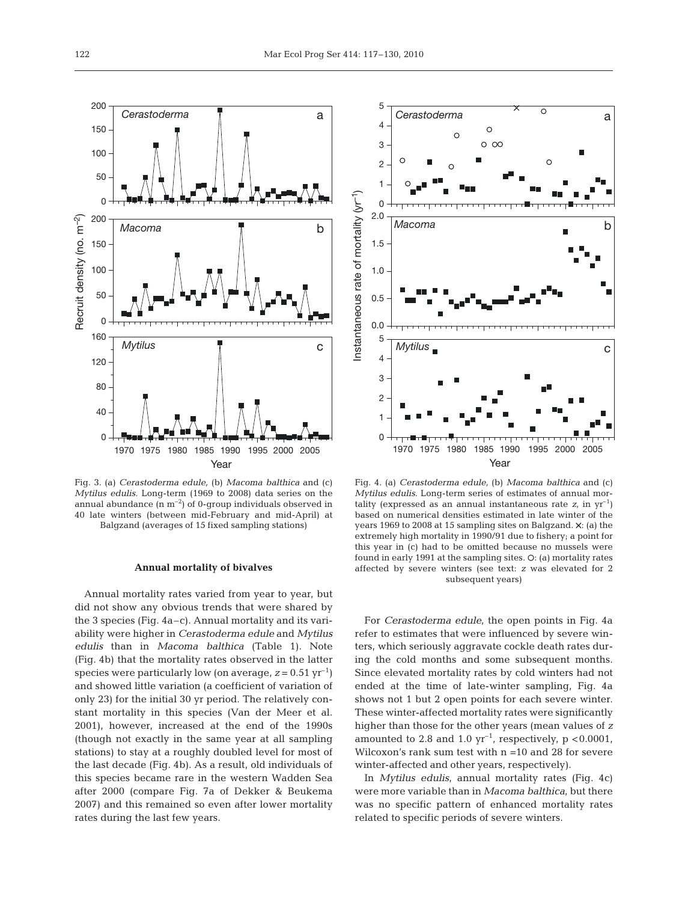

Fig. 3. (a) *Cerastoderma edule,* (b) *Macoma balthica* and (c) *Mytilus edulis.* Long-term (1969 to 2008) data series on the annual abundance  $(n m<sup>-2</sup>)$  of 0-group individuals observed in 40 late winters (between mid-February and mid-April) at Balgzand (averages of 15 fixed sampling stations)

#### **Annual mortality of bivalves**

Annual mortality rates varied from year to year, but did not show any obvious trends that were shared by the 3 species (Fig. 4a–c). Annual mortality and its variability were higher in *Cerastoderma edule* and *Mytilus edulis* than in *Macoma balthica* (Table 1). Note (Fig. 4b) that the mortality rates observed in the latter species were particularly low (on average,  $z = 0.51 \text{ yr}^{-1}$ ) and showed little variation (a coefficient of variation of only 23) for the initial 30 yr period. The relatively constant mortality in this species (Van der Meer et al. 2001), however, increased at the end of the 1990s (though not exactly in the same year at all sampling stations) to stay at a roughly doubled level for most of the last decade (Fig. 4b). As a result, old individuals of this species became rare in the western Wadden Sea after 2000 (compare Fig. 7a of Dekker & Beukema 2007) and this remained so even after lower mortality rates during the last few years.



Fig. 4. (a) *Cerastoderma edule,* (b) *Macoma balthica* and (c) *Mytilus edulis*. Long-term series of estimates of annual mortality (expressed as an annual instantaneous rate  $z$ , in  $yr^{-1}$ ) based on numerical densities estimated in late winter of the years 1969 to 2008 at 15 sampling sites on Balgzand.  $\times$ : (a) the extremely high mortality in 1990/91 due to fishery; a point for this year in (c) had to be omitted because no mussels were found in early 1991 at the sampling sites. O: (a) mortality rates affected by severe winters (see text: *z* was elevated for 2 subsequent years)

For *Cerastoderma edule*, the open points in Fig. 4a refer to estimates that were influenced by severe winters, which seriously aggravate cockle death rates during the cold months and some subsequent months. Since elevated mortality rates by cold winters had not ended at the time of late-winter sampling, Fig. 4a shows not 1 but 2 open points for each severe winter. These winter-affected mortality rates were significantly higher than those for the other years (mean values of *z* amounted to 2.8 and 1.0  $yr^{-1}$ , respectively, p <0.0001, Wilcoxon's rank sum test with n =10 and 28 for severe winter-affected and other years, respectively).

In *Mytilus edulis*, annual mortality rates (Fig. 4c) were more variable than in *Macoma balthica*, but there was no specific pattern of enhanced mortality rates related to specific periods of severe winters.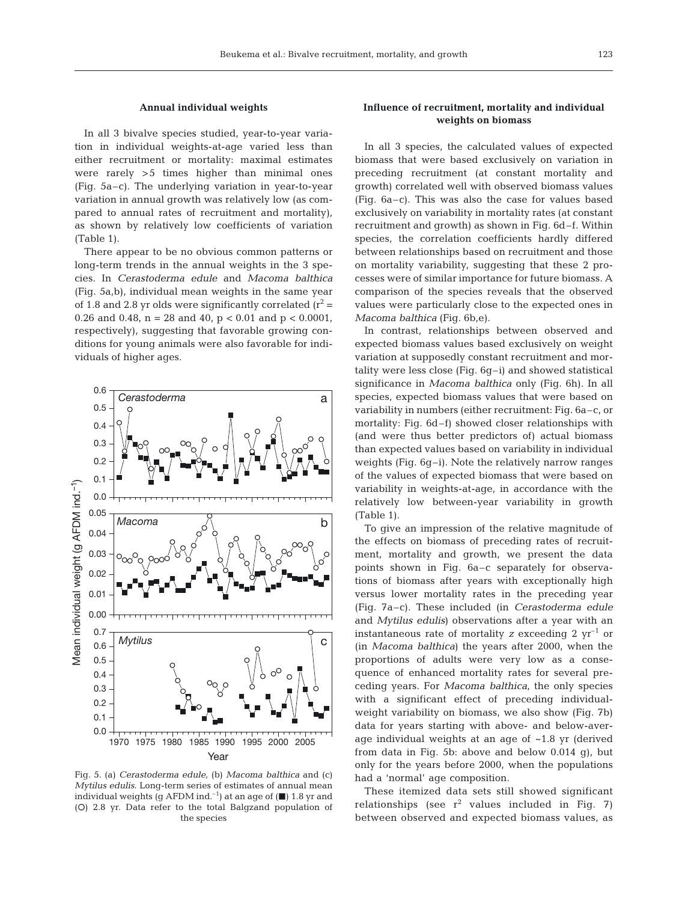#### **Annual individual weights**

In all 3 bivalve species studied, year-to-year variation in individual weights-at-age varied less than either recruitment or mortality: maximal estimates were rarely >5 times higher than minimal ones (Fig. 5a–c). The underlying variation in year-to-year variation in annual growth was relatively low (as compared to annual rates of recruitment and mortality), as shown by relatively low coefficients of variation (Table 1).

There appear to be no obvious common patterns or long-term trends in the annual weights in the 3 species. In *Cerastoderma edule* and *Macoma balthica* (Fig. 5a,b), individual mean weights in the same year of 1.8 and 2.8 yr olds were significantly correlated  $(r^2 =$ 0.26 and 0.48,  $n = 28$  and 40,  $p < 0.01$  and  $p < 0.0001$ , respectively), suggesting that favorable growing conditions for young animals were also favorable for individuals of higher ages.



Fig. 5. (a) *Cerastoderma edule,* (b) *Macoma balthica* and (c) *Mytilus edulis*. Long-term series of estimates of annual mean individual weights (g AFDM ind.<sup>-1</sup>) at an age of ( $\blacksquare$ ) 1.8 yr and (O) 2.8 yr. Data refer to the total Balgzand population of the species

## **Influence of recruitment, mortality and individual weights on biomass**

In all 3 species, the calculated values of expected biomass that were based exclusively on variation in preceding recruitment (at constant mortality and growth) correlated well with observed biomass values (Fig. 6a–c). This was also the case for values based exclusively on variability in mortality rates (at constant recruitment and growth) as shown in Fig. 6d–f. Within species, the correlation coefficients hardly differed between relationships based on recruitment and those on mortality variability, suggesting that these 2 processes were of similar importance for future biomass. A comparison of the species reveals that the observed values were particularly close to the expected ones in *Macoma balthica* (Fig. 6b,e).

In contrast, relationships between observed and expected biomass values based exclusively on weight variation at supposedly constant recruitment and mortality were less close (Fig. 6g–i) and showed statistical significance in *Macoma balthica* only (Fig. 6h). In all species, expected biomass values that were based on variability in numbers (either recruitment: Fig. 6a–c, or mortality: Fig. 6d–f) showed closer relationships with (and were thus better predictors of) actual biomass than expected values based on variability in individual weights (Fig. 6g–i). Note the relatively narrow ranges of the values of expected biomass that were based on variability in weights-at-age, in accordance with the relatively low between-year variability in growth (Table 1).

To give an impression of the relative magnitude of the effects on biomass of preceding rates of recruitment, mortality and growth, we present the data points shown in Fig. 6a–c separately for observations of biomass after years with exceptionally high versus lower mortality rates in the preceding year (Fig. 7a–c). These included (in *Cerastoderma edule* and *Mytilus edulis*) observations after a year with an instantaneous rate of mortality *z* exceeding 2  $yr^{-1}$  or (in *Macoma balthica*) the years after 2000, when the proportions of adults were very low as a consequence of enhanced mortality rates for several preceding years. For *Macoma balthica*, the only species with a significant effect of preceding individualweight variability on biomass, we also show (Fig. 7b) data for years starting with above- and below-average individual weights at an age of ~1.8 yr (derived from data in Fig. 5b: above and below 0.014 g), but only for the years before 2000, when the populations had a 'normal' age composition.

These itemized data sets still showed significant relationships (see  $r^2$  values included in Fig. 7) between observed and expected biomass values, as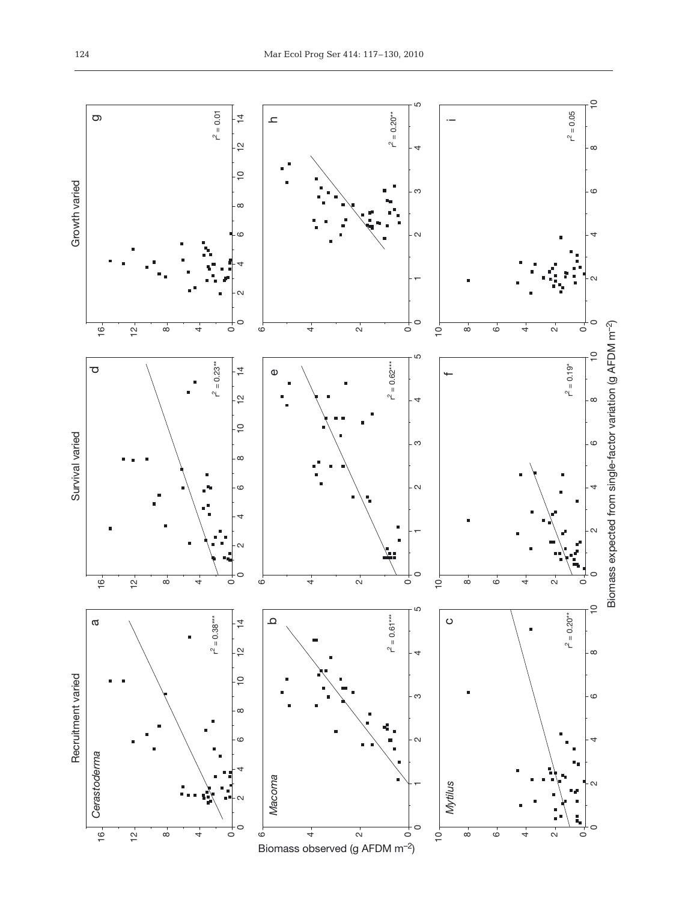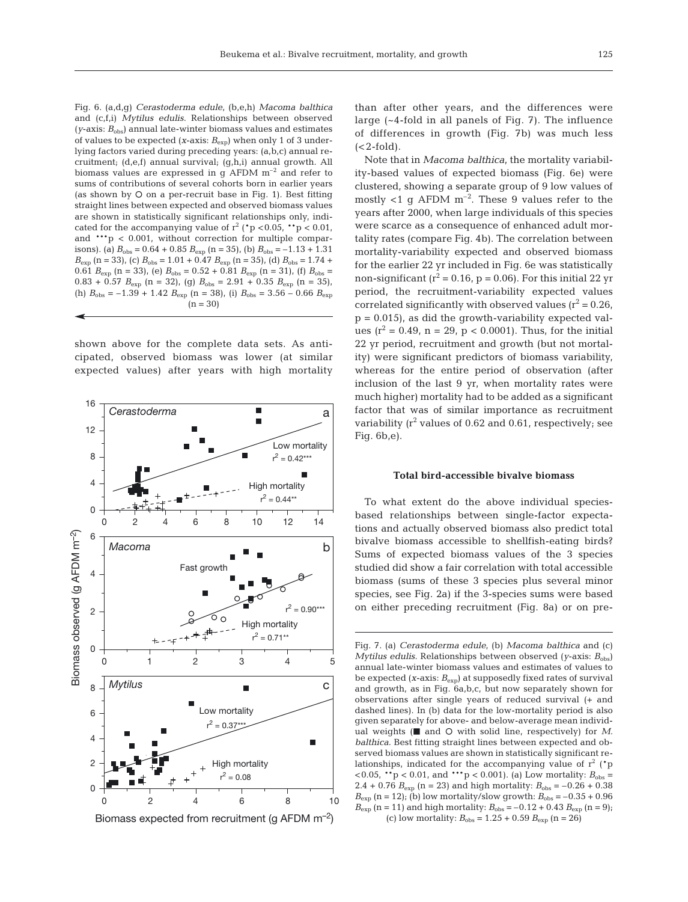Fig. 6. (a,d,g) *Cerastoderma edule*, (b,e,h) *Macoma balthica* and (c,f,i) *Mytilus edulis*. Relationships between observed (*y*-axis: *B*obs) annual late-winter biomass values and estimates of values to be expected (*x*-axis: *B*exp) when only 1 of 3 underlying factors varied during preceding years: (a,b,c) annual recruitment; (d,e,f) annual survival; (g,h,i) annual growth. All biomass values are expressed in g AFDM m–2 and refer to sums of contributions of several cohorts born in earlier years (as shown by  $O$  on a per-recruit base in Fig. 1). Best fitting straight lines between expected and observed biomass values are shown in statistically significant relationships only, indicated for the accompanying value of  $r^2$  (\*p <0.05, \*\*p < 0.01, and  $***p$  < 0.001, without correction for multiple comparisons). (a)  $B_{\text{obs}} = 0.64 + 0.85 B_{\text{exp}}$  (n = 35), (b)  $B_{\text{obs}} = -1.13 + 1.31$  $B_{\text{exp}}$  (n = 33), (c)  $B_{\text{obs}}$  = 1.01 + 0.47  $B_{\text{exp}}$  (n = 35), (d)  $B_{\text{obs}}$  = 1.74 + 0.61  $B_{\text{exp}}$  (n = 33), (e)  $B_{\text{obs}} = 0.52 + 0.81$   $B_{\text{exp}}$  (n = 31), (f)  $B_{\text{obs}} =$  $0.83 + 0.57 B_{exp}$  (n = 32), (g)  $B_{obs} = 2.91 + 0.35 B_{exp}$  (n = 35), (h)  $B_{\text{obs}} = -1.39 + 1.42 B_{\text{exp}}$  (n = 38), (i)  $B_{\text{obs}} = 3.56 - 0.66 B_{\text{exp}}$  $(n = 30)$ 

shown above for the complete data sets. As anticipated, observed biomass was lower (at similar expected values) after years with high mortality



than after other years, and the differences were large (~4-fold in all panels of Fig. 7). The influence of differences in growth (Fig. 7b) was much less  $( $2$ -fold).$ 

Note that in *Macoma balthica*, the mortality variability-based values of expected biomass (Fig. 6e) were clustered, showing a separate group of 9 low values of mostly  $<$ 1 g AFDM m<sup>-2</sup>. These 9 values refer to the years after 2000, when large individuals of this species were scarce as a consequence of enhanced adult mortality rates (compare Fig. 4b). The correlation between mortality-variability expected and observed biomass for the earlier 22 yr included in Fig. 6e was statistically non-significant ( $r^2$  = 0.16, p = 0.06). For this initial 22 yr period, the recruitment-variability expected values correlated significantly with observed values ( $r^2$  = 0.26,  $p = 0.015$ , as did the growth-variability expected values ( $r^2$  = 0.49, n = 29, p < 0.0001). Thus, for the initial 22 yr period, recruitment and growth (but not mortality) were significant predictors of biomass variability, whereas for the entire period of observation (after inclusion of the last 9 yr, when mortality rates were much higher) mortality had to be added as a significant factor that was of similar importance as recruitment variability  $(r^2$  values of 0.62 and 0.61, respectively; see Fig. 6b,e).

## **Total bird-accessible bivalve biomass**

To what extent do the above individual speciesbased relationships between single-factor expectations and actually observed biomass also predict total bivalve biomass accessible to shellfish-eating birds? Sums of expected biomass values of the 3 species studied did show a fair correlation with total accessible biomass (sums of these 3 species plus several minor species, see Fig. 2a) if the 3-species sums were based on either preceding recruitment (Fig. 8a) or on pre-

Fig. 7. (a) *Cerastoderma edule*, (b) *Macoma balthica* and (c) *Mytilus edulis*. Relationships between observed (*y*-axis:  $B_{obs}$ ) annual late-winter biomass values and estimates of values to be expected (*x*-axis:  $B_{\text{exp}}$ ) at supposedly fixed rates of survival and growth, as in Fig. 6a,b,c, but now separately shown for observations after single years of reduced survival (+ and dashed lines). In (b) data for the low-mortality period is also given separately for above- and below-average mean individual weights ( $\blacksquare$  and  $\bigcirc$  with solid line, respectively) for *M*. *balthica*. Best fitting straight lines between expected and observed biomass values are shown in statistically significant relationships, indicated for the accompanying value of  $r^2$  (\*p <0.05, \*\*p < 0.01, and \*\*\*p < 0.001). (a) Low mortality:  $B_{\text{obs}} =$ 2.4 + 0.76  $B_{\text{exp}}$  (n = 23) and high mortality:  $B_{\text{obs}}$  = -0.26 + 0.38  $B_{\rm exp}$  (n = 12); (b) low mortality/slow growth:  $B_{\rm obs}$  = –0.35 + 0.96  $B_{\rm exp}$  (n = 11) and high mortality:  $B_{\rm obs}$  = -0.12 + 0.43  $B_{\rm exp}$  (n = 9); (c) low mortality:  $B_{\text{obs}} = 1.25 + 0.59 B_{\text{exp}} (n = 26)$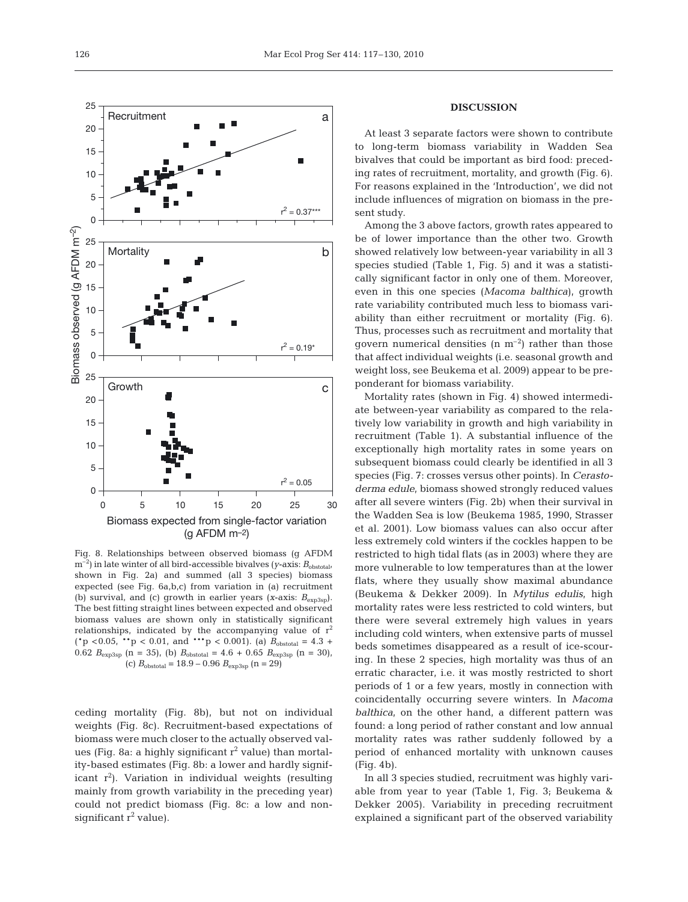At least 3 separate factors were shown to contribute to long-term biomass variability in Wadden Sea bivalves that could be important as bird food: preceding rates of recruitment, mortality, and growth (Fig. 6). For reasons explained in the 'Introduction', we did not include influences of migration on biomass in the present study.

Among the 3 above factors, growth rates appeared to be of lower importance than the other two. Growth showed relatively low between-year variability in all 3 species studied (Table 1, Fig. 5) and it was a statistically significant factor in only one of them. Moreover, even in this one species (*Macoma balthica*), growth rate variability contributed much less to biomass variability than either recruitment or mortality (Fig. 6). Thus, processes such as recruitment and mortality that govern numerical densities ( $n \, \text{m}^{-2}$ ) rather than those that affect individual weights (i.e. seasonal growth and weight loss, see Beukema et al. 2009) appear to be preponderant for biomass variability.

Mortality rates (shown in Fig. 4) showed intermediate between-year variability as compared to the relatively low variability in growth and high variability in recruitment (Table 1). A substantial influence of the exceptionally high mortality rates in some years on subsequent biomass could clearly be identified in all 3 species (Fig. 7: crosses versus other points). In *Cerastoderma edule*, biomass showed strongly reduced values after all severe winters (Fig. 2b) when their survival in the Wadden Sea is low (Beukema 1985, 1990, Strasser et al. 2001). Low biomass values can also occur after less extremely cold winters if the cockles happen to be restricted to high tidal flats (as in 2003) where they are more vulnerable to low temperatures than at the lower flats, where they usually show maximal abundance (Beukema & Dekker 2009). In *Mytilus edulis*, high mortality rates were less restricted to cold winters, but there were several extremely high values in years including cold winters, when extensive parts of mussel beds sometimes disappeared as a result of ice-scouring. In these 2 species, high mortality was thus of an erratic character, i.e. it was mostly restricted to short periods of 1 or a few years, mostly in connection with coincidentally occurring severe winters. In *Macoma balthica*, on the other hand, a different pattern was found: a long period of rather constant and low annual mortality rates was rather suddenly followed by a period of enhanced mortality with unknown causes (Fig. 4b).

In all 3 species studied, recruitment was highly variable from year to year (Table 1, Fig. 3; Beukema & Dekker 2005). Variability in preceding recruitment explained a significant part of the observed variability

Fig. 8. Relationships between observed biomass (g AFDM  $(m^{-2})$  in late winter of all bird-accessible bivalves (*y*-axis:  $B_{\text{obstotal}}$ shown in Fig. 2a) and summed (all 3 species) biomass expected (see Fig. 6a,b,c) from variation in (a) recruitment (b) survival, and (c) growth in earlier years (*x*-axis: *B*exp3sp). The best fitting straight lines between expected and observed biomass values are shown only in statistically significant relationships, indicated by the accompanying value of  $r^2$ (\*p < 0.05, \*\*p < 0.01, and \*\*\*p < 0.001). (a)  $B_{\text{obstotal}} = 4.3 +$ 0.62  $B_{\exp 3sp}$  (n = 35), (b)  $B_{\text{obstotal}} = 4.6 + 0.65 B_{\exp 3sp}$  (n = 30), (c)  $B_{\text{obstotal}} = 18.9 - 0.96 B_{\text{exp3sp}} (n = 29)$ 

ceding mortality (Fig. 8b), but not on individual weights (Fig. 8c). Recruitment-based expectations of biomass were much closer to the actually observed values (Fig. 8a: a highly significant  $r^2$  value) than mortality-based estimates (Fig. 8b: a lower and hardly significant r<sup>2</sup>). Variation in individual weights (resulting mainly from growth variability in the preceding year) could not predict biomass (Fig. 8c: a low and nonsignificant  $r^2$  value).



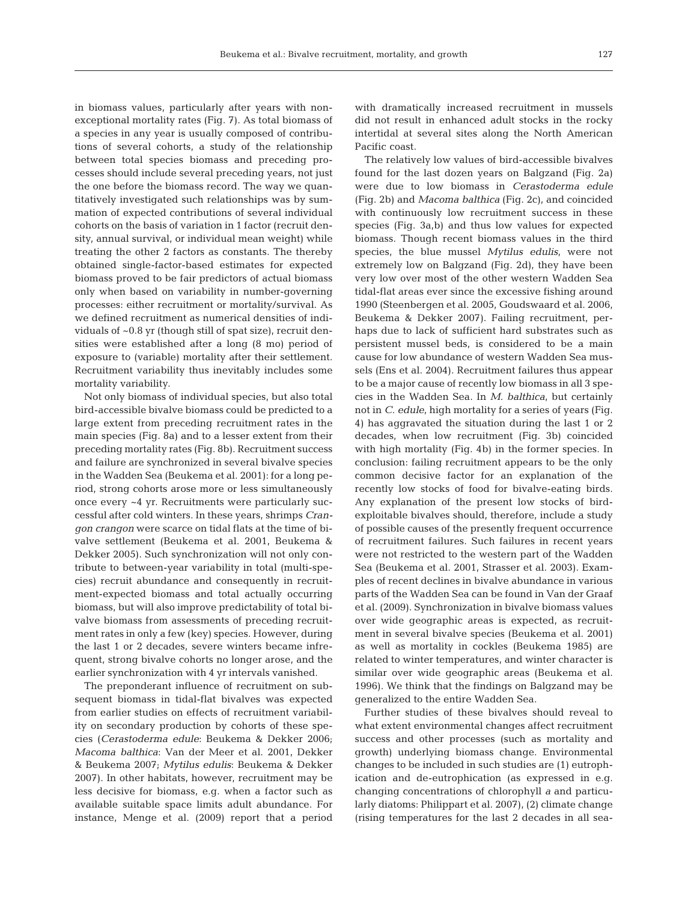in biomass values, particularly after years with nonexceptional mortality rates (Fig. 7). As total biomass of a species in any year is usually composed of contributions of several cohorts, a study of the relationship between total species biomass and preceding processes should include several preceding years, not just the one before the biomass record. The way we quantitatively investigated such relationships was by summation of expected contributions of several individual cohorts on the basis of variation in 1 factor (recruit density, annual survival, or individual mean weight) while treating the other 2 factors as constants. The thereby obtained single-factor-based estimates for expected biomass proved to be fair predictors of actual biomass only when based on variability in number-governing processes: either recruitment or mortality/survival. As we defined recruitment as numerical densities of individuals of ~0.8 yr (though still of spat size), recruit densities were established after a long (8 mo) period of exposure to (variable) mortality after their settlement. Recruitment variability thus inevitably includes some mortality variability.

Not only biomass of individual species, but also total bird-accessible bivalve biomass could be predicted to a large extent from preceding recruitment rates in the main species (Fig. 8a) and to a lesser extent from their preceding mortality rates (Fig. 8b). Recruitment success and failure are synchronized in several bivalve species in the Wadden Sea (Beukema et al. 2001): for a long period, strong cohorts arose more or less simultaneously once every ~4 yr. Recruitments were particularly successful after cold winters. In these years, shrimps *Crangon crangon* were scarce on tidal flats at the time of bivalve settlement (Beukema et al. 2001, Beukema & Dekker 2005). Such synchronization will not only contribute to between-year variability in total (multi-species) recruit abundance and consequently in recruitment-expected biomass and total actually occurring biomass, but will also improve predictability of total bivalve biomass from assessments of preceding recruitment rates in only a few (key) species. However, during the last 1 or 2 decades, severe winters became infrequent, strong bivalve cohorts no longer arose, and the earlier synchronization with 4 yr intervals vanished.

The preponderant influence of recruitment on subsequent biomass in tidal-flat bivalves was expected from earlier studies on effects of recruitment variability on secondary production by cohorts of these species (*Cerastoderma edule*: Beukema & Dekker 2006; *Macoma balthica*: Van der Meer et al. 2001, Dekker & Beukema 2007; *Mytilus edulis*: Beukema & Dekker 2007). In other habitats, however, recruitment may be less decisive for biomass, e.g. when a factor such as available suitable space limits adult abundance. For instance, Menge et al. (2009) report that a period

with dramatically increased recruitment in mussels did not result in enhanced adult stocks in the rocky intertidal at several sites along the North American Pacific coast.

The relatively low values of bird-accessible bivalves found for the last dozen years on Balgzand (Fig. 2a) were due to low biomass in *Cerastoderma edule* (Fig. 2b) and *Macoma balthica* (Fig. 2c), and coincided with continuously low recruitment success in these species (Fig. 3a,b) and thus low values for expected biomass. Though recent biomass values in the third species, the blue mussel *Mytilus edulis*, were not extremely low on Balgzand (Fig. 2d), they have been very low over most of the other western Wadden Sea tidal-flat areas ever since the excessive fishing around 1990 (Steenbergen et al. 2005, Goudswaard et al. 2006, Beukema & Dekker 2007). Failing recruitment, perhaps due to lack of sufficient hard substrates such as persistent mussel beds, is considered to be a main cause for low abundance of western Wadden Sea mussels (Ens et al. 2004). Recruitment failures thus appear to be a major cause of recently low biomass in all 3 species in the Wadden Sea. In *M. balthica*, but certainly not in *C. edule*, high mortality for a series of years (Fig. 4) has aggravated the situation during the last 1 or 2 decades, when low recruitment (Fig. 3b) coincided with high mortality (Fig. 4b) in the former species. In conclusion: failing recruitment appears to be the only common decisive factor for an explanation of the recently low stocks of food for bivalve-eating birds. Any explanation of the present low stocks of birdexploitable bivalves should, therefore, include a study of possible causes of the presently frequent occurrence of recruitment failures. Such failures in recent years were not restricted to the western part of the Wadden Sea (Beukema et al. 2001, Strasser et al. 2003). Examples of recent declines in bivalve abundance in various parts of the Wadden Sea can be found in Van der Graaf et al. (2009). Synchronization in bivalve biomass values over wide geographic areas is expected, as recruitment in several bivalve species (Beukema et al. 2001) as well as mortality in cockles (Beukema 1985) are related to winter temperatures, and winter character is similar over wide geographic areas (Beukema et al. 1996). We think that the findings on Balgzand may be generalized to the entire Wadden Sea.

Further studies of these bivalves should reveal to what extent environmental changes affect recruitment success and other processes (such as mortality and growth) underlying biomass change. Environmental changes to be included in such studies are (1) eutrophication and de-eutrophication (as expressed in e.g. changing concentrations of chlorophyll *a* and particularly diatoms: Philippart et al. 2007), (2) climate change (rising temperatures for the last 2 decades in all sea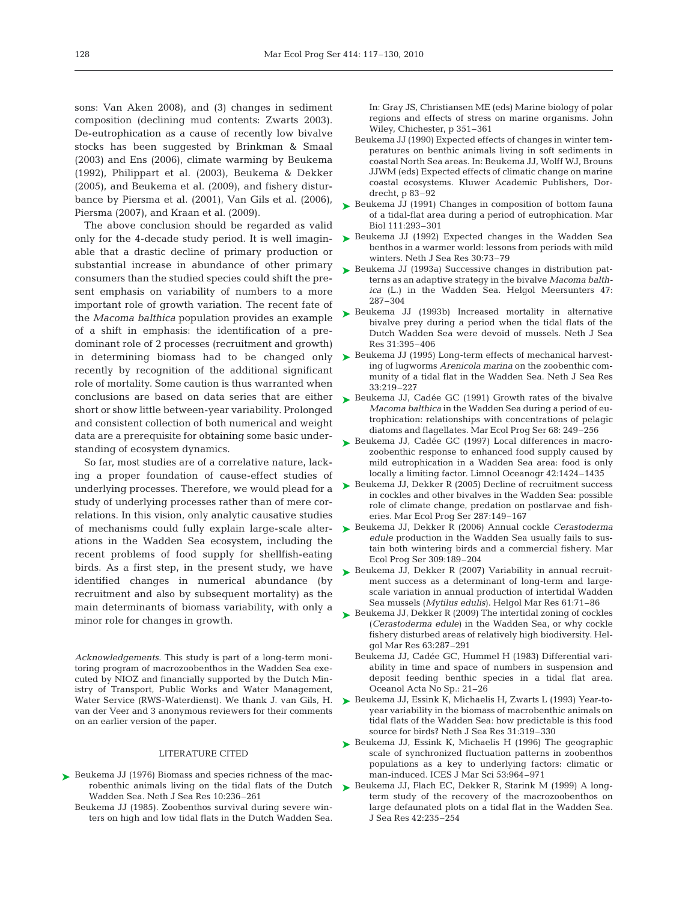sons: Van Aken 2008), and (3) changes in sediment composition (declining mud contents: Zwarts 2003). De-eutrophication as a cause of recently low bivalve stocks has been suggested by Brinkman & Smaal (2003) and Ens (2006), climate warming by Beukema (1992), Philippart et al. (2003), Beukema & Dekker (2005), and Beukema et al. (2009), and fishery disturbance by Piersma et al. (2001), Van Gils et al. (2006), Piersma (2007), and Kraan et al. (2009).

The above conclusion should be regarded as valid only for the 4-decade study period. It is well imaginable that a drastic decline of primary production or substantial increase in abundance of other primary consumers than the studied species could shift the present emphasis on variability of numbers to a more important role of growth variation. The recent fate of the *Macoma balthica* population provides an example of a shift in emphasis: the identification of a predominant role of 2 processes (recruitment and growth) in determining biomass had to be changed only recently by recognition of the additional significant role of mortality. Some caution is thus warranted when conclusions are based on data series that are either short or show little between-year variability. Prolonged and consistent collection of both numerical and weight data are a prerequisite for obtaining some basic understanding of ecosystem dynamics.

So far, most studies are of a correlative nature, lacking a proper foundation of cause-effect studies of underlying processes. Therefore, we would plead for a study of underlying processes rather than of mere correlations. In this vision, only analytic causative studies of mechanisms could fully explain large-scale alterations in the Wadden Sea ecosystem, including the recent problems of food supply for shellfish-eating birds. As a first step, in the present study, we have identified changes in numerical abundance (by recruitment and also by subsequent mortality) as the main determinants of biomass variability, with only a minor role for changes in growth.

*Acknowledgements.* This study is part of a long-term monitoring program of macrozoobenthos in the Wadden Sea executed by NIOZ and financially supported by the Dutch Ministry of Transport, Public Works and Water Management, Water Service (RWS-Waterdienst). We thank J. van Gils, H. van der Veer and 3 anonymous reviewers for their comments on an earlier version of the paper.

#### LITERATURE CITED

- ▶ Beukema JJ (1976) Biomass and species richness of the macrobenthic animals living on the tidal flats of the Dutch Wadden Sea. Neth J Sea Res 10:236–261
	- Beukema JJ (1985). Zoobenthos survival during severe winters on high and low tidal flats in the Dutch Wadden Sea.

In: Gray JS, Christiansen ME (eds) Marine biology of polar regions and effects of stress on marine organisms. John Wiley, Chichester, p 351–361

- Beukema JJ (1990) Expected effects of changes in winter temperatures on benthic animals living in soft sediments in coastal North Sea areas. In: Beukema JJ, Wolff WJ, Brouns JJWM (eds) Expected effects of climatic change on marine coastal ecosystems. Kluwer Academic Publishers, Dordrecht, p 83–92
- ► Beukema JJ (1991) Changes in composition of bottom fauna of a tidal-flat area during a period of eutrophication. Mar Biol 111:293–301
- ► Beukema JJ (1992) Expected changes in the Wadden Sea benthos in a warmer world: lessons from periods with mild winters. Neth J Sea Res 30:73–79
- ► Beukema JJ (1993a) Successive changes in distribution patterns as an adaptive strategy in the bivalve *Macoma balthica* (L.) in the Wadden Sea. Helgol Meersunters 47: 287–304
- ▶ Beukema JJ (1993b) Increased mortality in alternative bivalve prey during a period when the tidal flats of the Dutch Wadden Sea were devoid of mussels. Neth J Sea Res 31:395–406
- ► Beukema JJ (1995) Long-term effects of mechanical harvesting of lugworms *Arenicola marina* on the zoobenthic community of a tidal flat in the Wadden Sea. Neth J Sea Res 33:219–227
- ▶ Beukema JJ, Cadée GC (1991) Growth rates of the bivalve *Macoma balthica* in the Wadden Sea during a period of eutrophication: relationships with concentrations of pelagic diatoms and flagellates. Mar Ecol Prog Ser 68: 249–256
- ▶ Beukema JJ, Cadée GC (1997) Local differences in macrozoobenthic response to enhanced food supply caused by mild eutrophication in a Wadden Sea area: food is only locally a limiting factor. Limnol Oceanogr 42:1424–1435
- ► Beukema JJ, Dekker R (2005) Decline of recruitment success in cockles and other bivalves in the Wadden Sea: possible role of climate change, predation on postlarvae and fisheries. Mar Ecol Prog Ser 287:149–167
- Beukema JJ, Dekker R (2006) Annual cockle *Cerastoderma* ➤ *edule* production in the Wadden Sea usually fails to sustain both wintering birds and a commercial fishery. Mar Ecol Prog Ser 309:189–204
- ▶ Beukema JJ, Dekker R (2007) Variability in annual recruitment success as a determinant of long-term and largescale variation in annual production of intertidal Wadden Sea mussels (*Mytilus edulis*). Helgol Mar Res 61:71–86
- ► Beukema JJ, Dekker R (2009) The intertidal zoning of cockles (*Cerastoderma edule*) in the Wadden Sea, or why cockle fishery disturbed areas of relatively high biodiversity. Helgol Mar Res 63:287–291
	- Beukema JJ, Cadée GC, Hummel H (1983) Differential variability in time and space of numbers in suspension and deposit feeding benthic species in a tidal flat area. Oceanol Acta No Sp.: 21–26
- ► Beukema JJ, Essink K, Michaelis H, Zwarts L (1993) Year-toyear variability in the biomass of macrobenthic animals on tidal flats of the Wadden Sea: how predictable is this food source for birds? Neth J Sea Res 31:319–330
- ► Beukema JJ, Essink K, Michaelis H (1996) The geographic scale of synchronized fluctuation patterns in zoobenthos populations as a key to underlying factors: climatic or man-induced. ICES J Mar Sci 53:964–971
- ► Beukema JJ, Flach EC, Dekker R, Starink M (1999) A longterm study of the recovery of the macrozoobenthos on large defaunated plots on a tidal flat in the Wadden Sea. J Sea Res 42:235–254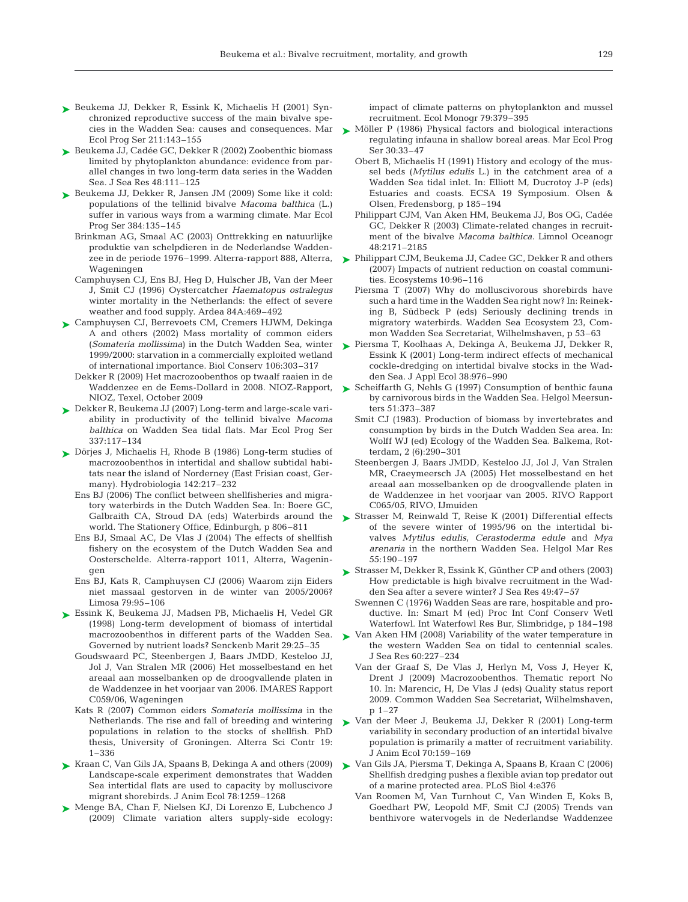- ► Beukema JJ, Dekker R, Essink K, Michaelis H (2001) Synchronized reproductive success of the main bivalve spe-Ecol Prog Ser 211:143–155
- ► Beukema JJ, Cadée GC, Dekker R (2002) Zoobenthic biomass limited by phytoplankton abundance: evidence from parallel changes in two long-term data series in the Wadden Sea. J Sea Res 48:111–125
- ► Beukema JJ, Dekker R, Jansen JM (2009) Some like it cold: populations of the tellinid bivalve *Macoma balthica* (L.) suffer in various ways from a warming climate. Mar Ecol Prog Ser 384:135–145
	- Brinkman AG, Smaal AC (2003) Onttrekking en natuurlijke produktie van schelpdieren in de Nederlandse Waddenzee in de periode 1976–1999. Alterra-rapport 888, Alterra, Wageningen
	- Camphuysen CJ, Ens BJ, Heg D, Hulscher JB, Van der Meer J, Smit CJ (1996) Oystercatcher *Haematopus ostralegus* winter mortality in the Netherlands: the effect of severe weather and food supply. Ardea 84A:469–492
- ► Camphuysen CJ, Berrevoets CM, Cremers HJWM, Dekinga A and others (2002) Mass mortality of common eiders (*Somateria mollissima*) in the Dutch Wadden Sea, winter 1999/2000: starvation in a commercially exploited wetland of international importance. Biol Conserv 106:303–317
	- Dekker R (2009) Het macrozoobenthos op twaalf raaien in de Waddenzee en de Eems-Dollard in 2008. NIOZ-Rapport, NIOZ, Texel, October 2009
- Dekker R, Beukema JJ (2007) Long-term and large-scale vari-➤ ability in productivity of the tellinid bivalve *Macoma balthica* on Wadden Sea tidal flats. Mar Ecol Prog Ser 337:117–134
- ▶ Dörjes J, Michaelis H, Rhode B (1986) Long-term studies of macrozoobenthos in intertidal and shallow subtidal habitats near the island of Norderney (East Frisian coast, Germany). Hydrobiologia 142:217–232
	- Ens BJ (2006) The conflict between shellfisheries and migratory waterbirds in the Dutch Wadden Sea. In: Boere GC, Galbraith CA, Stroud DA (eds) Waterbirds around the world. The Stationery Office, Edinburgh, p 806–811
	- Ens BJ, Smaal AC, De Vlas J (2004) The effects of shellfish fishery on the ecosystem of the Dutch Wadden Sea and Oosterschelde. Alterra-rapport 1011, Alterra, Wageningen
	- Ens BJ, Kats R, Camphuysen CJ (2006) Waarom zijn Eiders niet massaal gestorven in de winter van 2005/2006? Limosa 79:95–106
- ► Essink K, Beukema JJ, Madsen PB, Michaelis H, Vedel GR (1998) Long-term development of biomass of intertidal macrozoobenthos in different parts of the Wadden Sea. Governed by nutrient loads? Senckenb Marit 29:25–35
	- Goudswaard PC, Steenbergen J, Baars JMDD, Kesteloo JJ, Jol J, Van Stralen MR (2006) Het mosselbestand en het areaal aan mosselbanken op de droogvallende platen in de Waddenzee in het voorjaar van 2006. IMARES Rapport C059/06, Wageningen
	- Kats R (2007) Common eiders *Somateria mollissima* in the Netherlands. The rise and fall of breeding and wintering populations in relation to the stocks of shellfish. PhD thesis, University of Groningen. Alterra Sci Contr 19: 1–336
- ► Kraan C, Van Gils JA, Spaans B, Dekinga A and others (2009) Landscape-scale experiment demonstrates that Wadden Sea intertidal flats are used to capacity by molluscivore migrant shorebirds. J Anim Ecol 78:1259–1268
- Menge BA, Chan F, Nielsen KJ, Di Lorenzo E, Lubchenco J ➤ (2009) Climate variation alters supply-side ecology:

impact of climate patterns on phytoplankton and mussel recruitment. Ecol Monogr 79:379–395

- cies in the Wadden Sea: causes and consequences. Mar > Möller P (1986) Physical factors and biological interactions regulating infauna in shallow boreal areas. Mar Ecol Prog Ser 30:33–47
	- Obert B, Michaelis H (1991) History and ecology of the mussel beds (*Mytilus edulis* L.) in the catchment area of a Wadden Sea tidal inlet. In: Elliott M, Ducrotoy J-P (eds) Estuaries and coasts. ECSA 19 Symposium. Olsen & Olsen, Fredensborg, p 185–194
	- Philippart CJM, Van Aken HM, Beukema JJ, Bos OG, Cadée GC, Dekker R (2003) Climate-related changes in recruitment of the bivalve *Macoma balthica.* Limnol Oceanogr 48:2171–2185
	- Philippart CJM, Beukema JJ, Cadee GC, Dekker R and others (2007) Impacts of nutrient reduction on coastal communities. Ecosystems 10:96–116 ➤
		- Piersma T (2007) Why do molluscivorous shorebirds have such a hard time in the Wadden Sea right now? In: Reineking B, Südbeck P (eds) Seriously declining trends in migratory waterbirds. Wadden Sea Ecosystem 23, Common Wadden Sea Secretariat, Wilhelmshaven, p 53–63
	- ► Piersma T, Koolhaas A, Dekinga A, Beukema JJ, Dekker R, Essink K (2001) Long-term indirect effects of mechanical cockle-dredging on intertidal bivalve stocks in the Wadden Sea. J Appl Ecol 38:976–990
	- ► Scheiffarth G, Nehls G (1997) Consumption of benthic fauna by carnivorous birds in the Wadden Sea. Helgol Meersunters 51:373–387
		- Smit CJ (1983). Production of biomass by invertebrates and consumption by birds in the Dutch Wadden Sea area. In: Wolff WJ (ed) Ecology of the Wadden Sea. Balkema, Rotterdam, 2 (6):290–301
		- Steenbergen J, Baars JMDD, Kesteloo JJ, Jol J, Van Stralen MR, Craeymeersch JA (2005) Het mosselbestand en het areaal aan mosselbanken op de droogvallende platen in de Waddenzee in het voorjaar van 2005. RIVO Rapport C065/05, RIVO, IJmuiden
	- ► Strasser M, Reinwald T, Reise K (2001) Differential effects of the severe winter of 1995/96 on the intertidal bivalves *Mytilus edulis, Cerastoderma edule* and *Mya arenaria* in the northern Wadden Sea. Helgol Mar Res 55:190–197
	- ► Strasser M, Dekker R, Essink K, Günther CP and others (2003) How predictable is high bivalve recruitment in the Wadden Sea after a severe winter? J Sea Res 49:47–57
		- Swennen C (1976) Wadden Seas are rare, hospitable and productive. In: Smart M (ed) Proc Int Conf Conserv Wetl Waterfowl. Int Waterfowl Res Bur, Slimbridge, p 184–198
	- ► Van Aken HM (2008) Variability of the water temperature in the western Wadden Sea on tidal to centennial scales. J Sea Res 60:227–234
		- Van der Graaf S, De Vlas J, Herlyn M, Voss J, Heyer K, Drent J (2009) Macrozoobenthos. Thematic report No 10. In: Marencic, H, De Vlas J (eds) Quality status report 2009. Common Wadden Sea Secretariat, Wilhelmshaven, p 1–27
	- Van der Meer J, Beukema JJ, Dekker R (2001) Long-term ➤ variability in secondary production of an intertidal bivalve population is primarily a matter of recruitment variability. J Anim Ecol 70:159–169
	- Van Gils JA, Piersma T, Dekinga A, Spaans B, Kraan C (2006) ➤Shellfish dredging pushes a flexible avian top predator out of a marine protected area. PLoS Biol 4:e376
		- Van Roomen M, Van Turnhout C, Van Winden E, Koks B, Goedhart PW, Leopold MF, Smit CJ (2005) Trends van benthivore watervogels in de Nederlandse Waddenzee